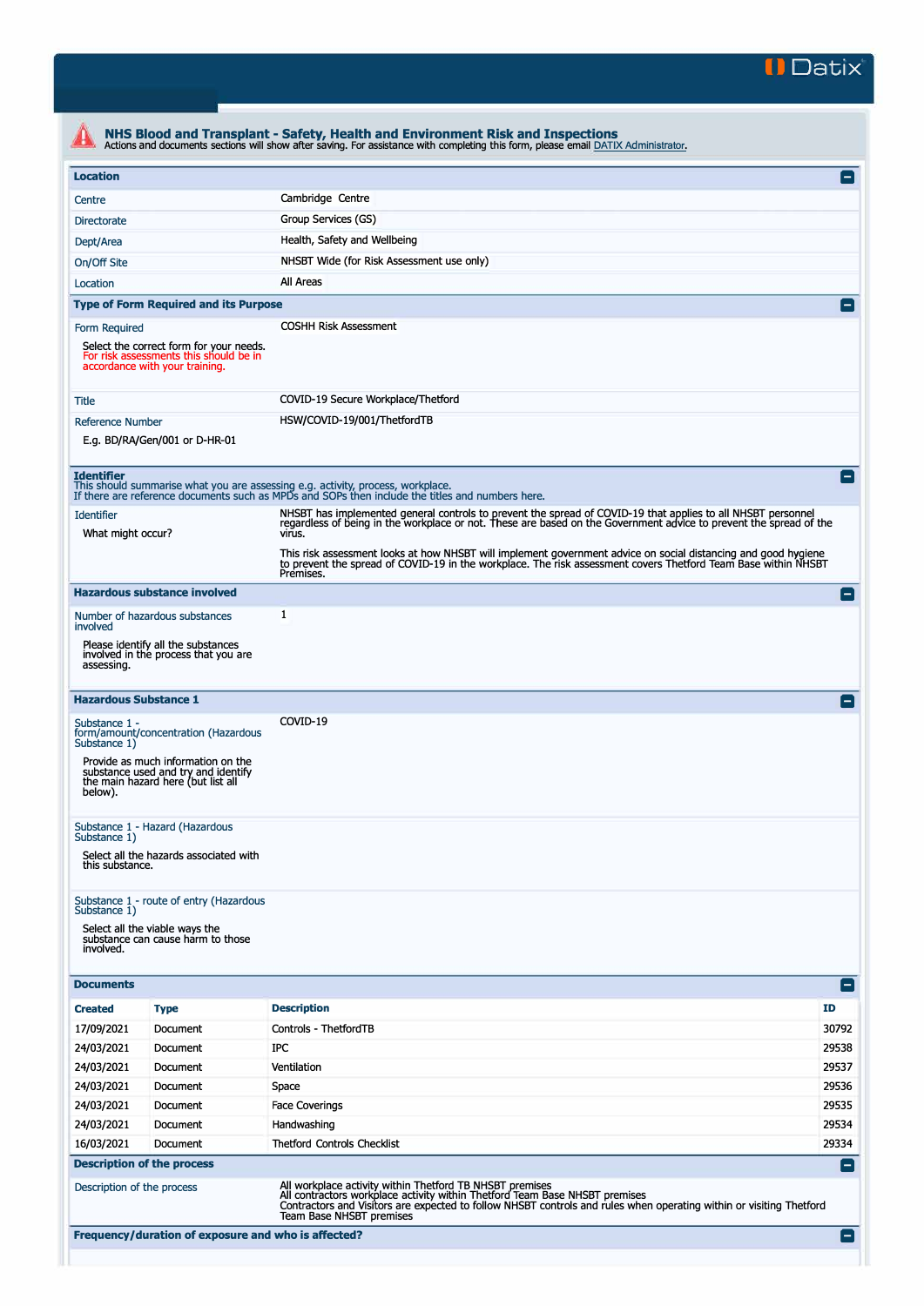

| <b>Location</b>                        |                                                                                                                     |                                                                                                                                                                                                                                               | $\left  - \right $ |
|----------------------------------------|---------------------------------------------------------------------------------------------------------------------|-----------------------------------------------------------------------------------------------------------------------------------------------------------------------------------------------------------------------------------------------|--------------------|
| Centre                                 |                                                                                                                     | Cambridge Centre                                                                                                                                                                                                                              |                    |
| <b>Directorate</b>                     |                                                                                                                     | Group Services (GS)                                                                                                                                                                                                                           |                    |
| Dept/Area                              |                                                                                                                     | Health, Safety and Wellbeing                                                                                                                                                                                                                  |                    |
| On/Off Site                            |                                                                                                                     | NHSBT Wide (for Risk Assessment use only)                                                                                                                                                                                                     |                    |
| Location                               |                                                                                                                     | All Areas                                                                                                                                                                                                                                     |                    |
|                                        | <b>Type of Form Required and its Purpose</b>                                                                        |                                                                                                                                                                                                                                               |                    |
| Form Required                          |                                                                                                                     | <b>COSHH Risk Assessment</b>                                                                                                                                                                                                                  |                    |
|                                        | Select the correct form for your needs.<br>For risk assessments this should be in<br>accordance with your training. |                                                                                                                                                                                                                                               |                    |
| Title                                  |                                                                                                                     | COVID-19 Secure Workplace/Thetford                                                                                                                                                                                                            |                    |
| <b>Reference Number</b>                |                                                                                                                     | HSW/COVID-19/001/ThetfordTB                                                                                                                                                                                                                   |                    |
|                                        | E.g. BD/RA/Gen/001 or D-HR-01                                                                                       |                                                                                                                                                                                                                                               |                    |
| <b>Identifier</b>                      |                                                                                                                     | This should summarise what you are assessing e.g. activity, process, workplace.<br>If there are reference documents such as MPDs and SOPs then include the titles and numbers here.                                                           |                    |
| <b>Identifier</b><br>What might occur? |                                                                                                                     | NHSBT has implemented general controls to prevent the spread of COVID-19 that applies to all NHSBT personnel<br>regardless of being in the workplace or not. These are based on the Government advice to prevent the spread of the<br>virus.  |                    |
|                                        |                                                                                                                     | This risk assessment looks at how NHSBT will implement government advice on social distancing and good hygiene<br>to prevent the spread of COVID-19 in the workplace. The risk assessment covers Thetford Team Base within NHSBT<br>Premises. |                    |
|                                        | <b>Hazardous substance involved</b>                                                                                 |                                                                                                                                                                                                                                               | E                  |
|                                        | Number of hazardous substances                                                                                      | 1                                                                                                                                                                                                                                             |                    |
| involved<br>assessing.                 | Please identify all the substances<br>involved in the process that you are                                          |                                                                                                                                                                                                                                               |                    |
|                                        | <b>Hazardous Substance 1</b>                                                                                        |                                                                                                                                                                                                                                               |                    |
| Substance 1 -<br>Substance 1)          | form/amount/concentration (Hazardous                                                                                | COVID-19                                                                                                                                                                                                                                      |                    |
| below).                                | Provide as much information on the<br>substance used and try and identify<br>the main hazard here (but list all     |                                                                                                                                                                                                                                               |                    |
| Substance 1)                           | Substance 1 - Hazard (Hazardous                                                                                     |                                                                                                                                                                                                                                               |                    |
| this substance.                        | Select all the hazards associated with                                                                              |                                                                                                                                                                                                                                               |                    |
| Substance 1)                           | Substance 1 - route of entry (Hazardous                                                                             |                                                                                                                                                                                                                                               |                    |
| involved.                              | Select all the viable ways the<br>substance can cause harm to those                                                 |                                                                                                                                                                                                                                               |                    |
| <b>Documents</b>                       |                                                                                                                     |                                                                                                                                                                                                                                               | $\vert - \vert$    |
| <b>Created</b>                         | <b>Type</b>                                                                                                         | <b>Description</b>                                                                                                                                                                                                                            | ID                 |
| 17/09/2021                             | Document                                                                                                            | Controls - ThetfordTB                                                                                                                                                                                                                         | 30792              |
| 24/03/2021                             | Document                                                                                                            | IPC                                                                                                                                                                                                                                           | 29538              |
| 24/03/2021                             | Document                                                                                                            | Ventilation                                                                                                                                                                                                                                   | 29537              |
| 24/03/2021                             | Document                                                                                                            | Space                                                                                                                                                                                                                                         | 29536              |
| 24/03/2021                             | Document                                                                                                            | <b>Face Coverings</b>                                                                                                                                                                                                                         | 29535              |
| 24/03/2021                             | Document                                                                                                            | Handwashing                                                                                                                                                                                                                                   | 29534              |
| 16/03/2021                             | Document                                                                                                            | <b>Thetford Controls Checklist</b>                                                                                                                                                                                                            | 29334              |
|                                        | <b>Description of the process</b>                                                                                   |                                                                                                                                                                                                                                               | E                  |
|                                        |                                                                                                                     |                                                                                                                                                                                                                                               |                    |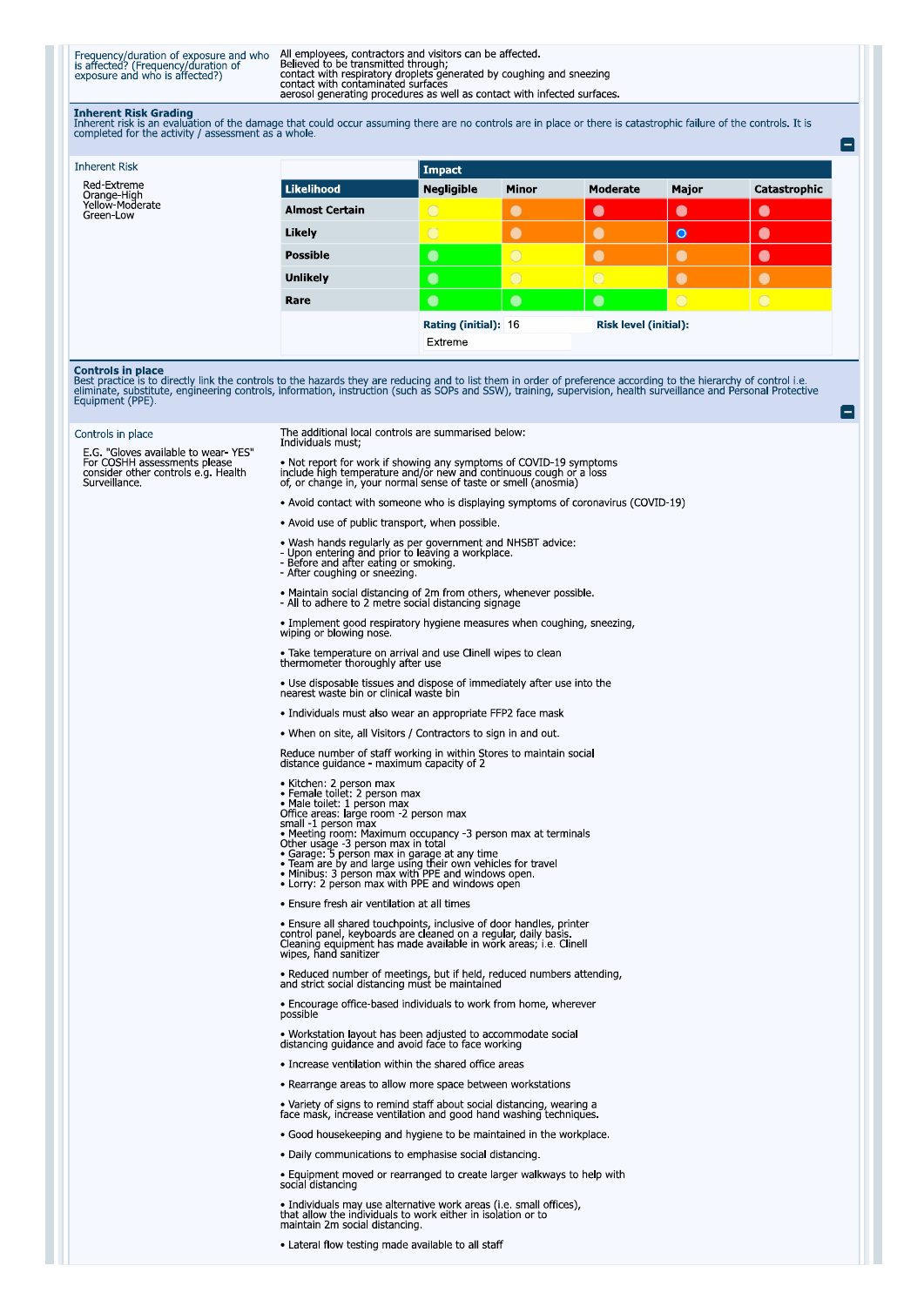Frequency/duration of exposure and who<br>is affected? (Frequency/duration of<br>exposure and who is affected?)

All employees, contractors and visitors can be affected.<br>Believed to be transmitted through;<br>contact with respiratory droplets generated by coughing and sneezing<br>contact with contaminated surfaces aerosol generating procedures as well as contact with infected surfaces.

Inherent Risk Grading<br>Inherent risk is an evaluation of the damage that could occur assuming there are no controls are in place or there is catastrophic failure of the controls. It is<br>completed for the activity / assessmen

Ξ

Ξ

| <b>Inherent Risk</b>         |                       | Impact               |                |                              |            |              |
|------------------------------|-----------------------|----------------------|----------------|------------------------------|------------|--------------|
| Red-Extreme<br>Orange-High   | Likelihood            | <b>Negligible</b>    | <b>Minor</b>   | Moderate                     | Major      | Catastrophic |
| Yellow-Moderate<br>Green-Low | <b>Almost Certain</b> | $\bigcirc$           | $\bullet$      | $\bullet$                    | $\bullet$  | $\bullet$    |
|                              | Likely                | $\bigcirc$           | $\bullet$      | $\bullet$                    | $\bullet$  | $\bullet$    |
|                              | <b>Possible</b>       | $\bullet$            | $\circ$        | $\bullet$                    | $\bullet$  | $\bullet$    |
|                              | <b>Unlikely</b>       | $\bullet$            | $\overline{O}$ | $\overline{O}$               |            |              |
|                              | Rare                  | $\bullet$            | $\bullet$      | $\bullet$                    | $\bigcirc$ | $\bigcirc$   |
|                              |                       | Rating (initial): 16 |                | <b>Risk level (initial):</b> |            |              |
|                              |                       | Extreme              |                |                              |            |              |

**Controls in place**<br>Best practice is to directly link the controls to the hazards they are reducing and to list them in order of preference according to the hierarchy of control i.e.<br>eliminate, substitute, engineering cont

## Controls in place

E.G. "Gloves available to wear- YES"<br>For COSHH assessments please<br>consider other controls e.g. Health<br>Surveillance.

## The additional local controls are summarised below: Individuals must;

• Not report for work if showing any symptoms of COVID-19 symptoms include high temperature and/or new and continuous cough or a loss of, or change in, your normal sense of taste or smell (anosmia)

- Avoid contact with someone who is displaying symptoms of coronavirus (COVID-19)
- Avoid use of public transport, when possible.
- Wash hands regularly as per government and NHSBT advice:<br>- Upon entering and prior to leaving a workplace.<br>- Before and after eating or smoking.<br>- After coughing or sneezing.
- 
- 
- 
- Maintain social distancing of 2m from others, whenever possible.<br>- All to adhere to 2 metre social distancing signage
- 
- Implement good respiratory hygiene measures when coughing, sneezing, wiping or blowing nose.

• Take temperature on arrival and use Clinell wipes to clean<br>thermometer thoroughly after use

• Use disposable tissues and dispose of immediately after use into the nearest waste bin or clinical waste bin

- · Individuals must also wear an appropriate FFP2 face mask
- . When on site, all Visitors / Contractors to sign in and out.

Reduce number of staff working in within Stores to maintain social<br>distance guidance - maximum capacity of 2

- 
- 
- 
- 
- Kichen: 2 person max<br>
Female toilet: 2 person max<br>
Male toilet: 1 person max<br>
Male toilet: 1 person max<br>
Small 1 person max<br>
Meeting room: 2 person max<br>
Meeting room: Maximum occupancy -3 person max at term
- 
- 
- 
- 
- 
- · Ensure fresh air ventilation at all times

• Ensure all shared touchpoints, inclusive of door handles, printer<br>control panel, keyboards are cleaned on a regular, daily basis.<br>Cleaning equipment has made available in work areas; i.e. Clinell<br>wipes, hand sanitizer

• Reduced number of meetings, but if held, reduced numbers attending, and strict social distancing must be maintained

• Encourage office-based individuals to work from home, wherever<br>possible

• Workstation layout has been adjusted to accommodate social<br>distancing guidance and avoid face to face working

- Increase ventilation within the shared office areas
- Rearrange areas to allow more space between workstations

• Variety of signs to remind staff about social distancing, wearing a face mask, increase ventilation and good hand washing techniques

- Good housekeeping and hygiene to be maintained in the workplace.
- · Daily communications to emphasise social distancing.
- Equipment moved or rearranged to create larger walkways to help with<br>social distancing

• Individuals may use alternative work areas (i.e. small offices), that allow the individuals to work either in isolation or to maintain 2m social distancing.

· Lateral flow testing made available to all staff